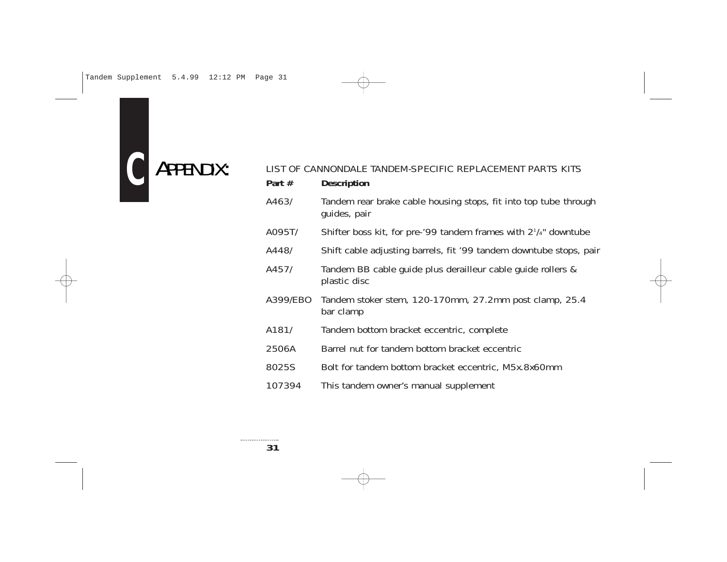

# LIST OF CANNONDALE TANDEM-SPECIFIC REPLACEMENT PARTS KITS

- **Part # Description** A463/ Tandem rear brake cable housing stops, fit into top tube through guides, pair A095T/ Shifter boss kit, for pre-'99 tandem frames with 21 /4" downtube A448/ Shift cable adjusting barrels, fit '99 tandem downtube stops, pair A457/ Tandem BB cable guide plus derailleur cable guide rollers & plastic disc A399/EBO Tandem stoker stem, 120-170mm, 27.2mm post clamp, 25.4 bar clamp A181/ Tandem bottom bracket eccentric, complete 2506A Barrel nut for tandem bottom bracket eccentric 8025S Bolt for tandem bottom bracket eccentric, M5x.8x60mm
- 107394 This tandem owner's manual supplement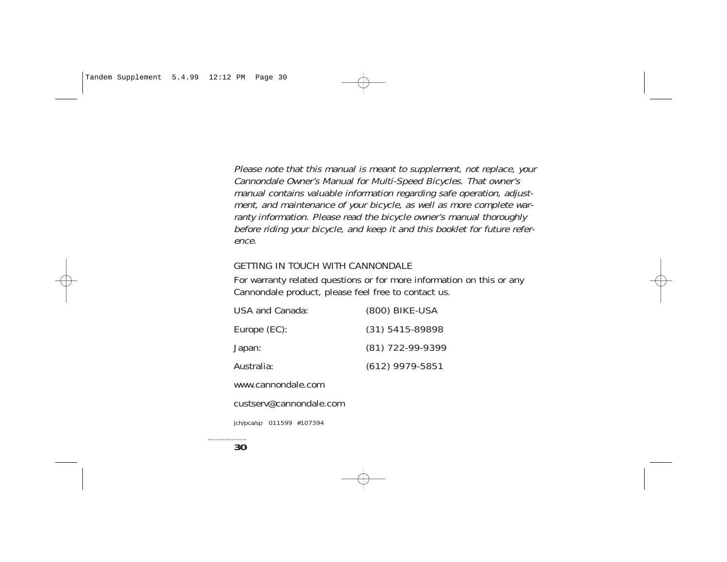Please note that this manual is meant to supplement, not replace, your Cannondale Owner's Manual for Multi-Speed Bicycles. That owner's manual contains valuable information regarding safe operation, adjustment, and maintenance of your bicycle, as well as more complete warranty information. Please read the bicycle owner's manual thoroughly before riding your bicycle, and keep it and this booklet for future reference.

#### GETTING IN TOUCH WITH CANNONDALE

For warranty related questions or for more information on this or any Cannondale product, please feel free to contact us.

| USA and Canada: | (800) BIKE-USA    |
|-----------------|-------------------|
| Europe (EC):    | $(31)$ 5415-89898 |
| Japan:          | (81) 722-99-9399  |
| Australia:      | $(612)$ 9979-5851 |
|                 |                   |

www.cannondale.com

custserv@cannondale.com

jch/pca/sp 011599 #107394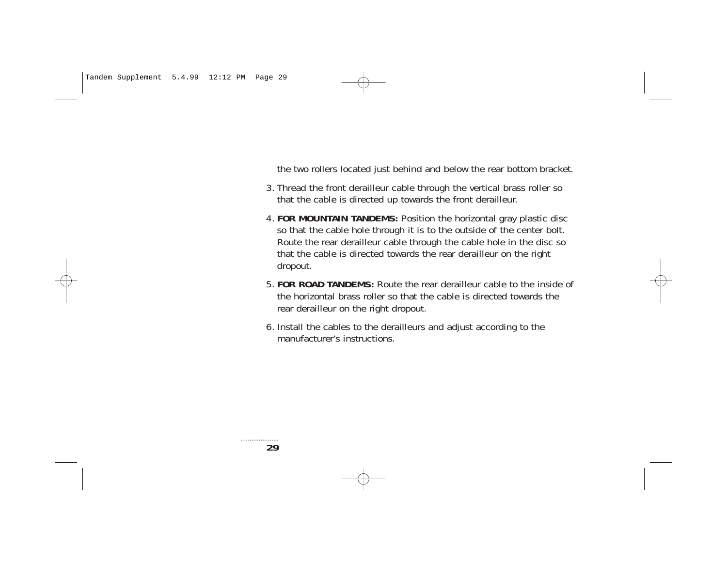the two rollers located just behind and below the rear bottom bracket.

- 3. Thread the front derailleur cable through the vertical brass roller so that the cable is directed up towards the front derailleur.
- 4. **FOR MOUNTAIN TANDEMS:** Position the horizontal gray plastic disc so that the cable hole through it is to the outside of the center bolt. Route the rear derailleur cable through the cable hole in the disc so that the cable is directed towards the rear derailleur on the right dropout.
- 5. **FOR ROAD TANDEMS:** Route the rear derailleur cable to the inside of the horizontal brass roller so that the cable is directed towards the rear derailleur on the right dropout.
- 6. Install the cables to the derailleurs and adjust according to the manufacturer's instructions.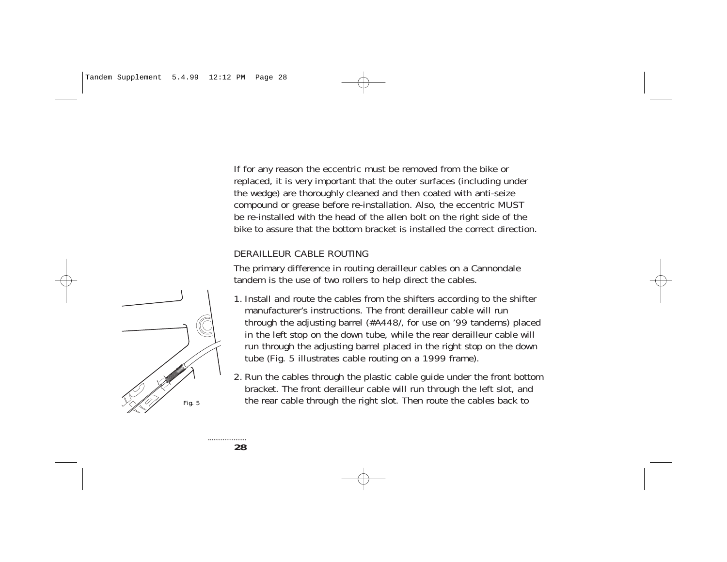If for any reason the eccentric must be removed from the bike or replaced, it is very important that the outer surfaces (including under the wedge) are thoroughly cleaned and then coated with anti-seize compound or grease before re-installation. Also, the eccentric MUST be re-installed with the head of the allen bolt on the right side of the bike to assure that the bottom bracket is installed the correct direction.

### DERAILLEUR CABLE ROUTING

The primary difference in routing derailleur cables on a Cannondale tandem is the use of two rollers to help direct the cables.



- 1. Install and route the cables from the shifters according to the shifter manufacturer's instructions. The front derailleur cable will run through the adjusting barrel (#A448/, for use on '99 tandems) placed in the left stop on the down tube, while the rear derailleur cable will run through the adjusting barrel placed in the right stop on the down tube (Fig. 5 illustrates cable routing on a 1999 frame).
- 2. Run the cables through the plastic cable guide under the front bottom bracket. The front derailleur cable will run through the left slot, and  $F_{\text{Hg}, 5}$  the rear cable through the right slot. Then route the cables back to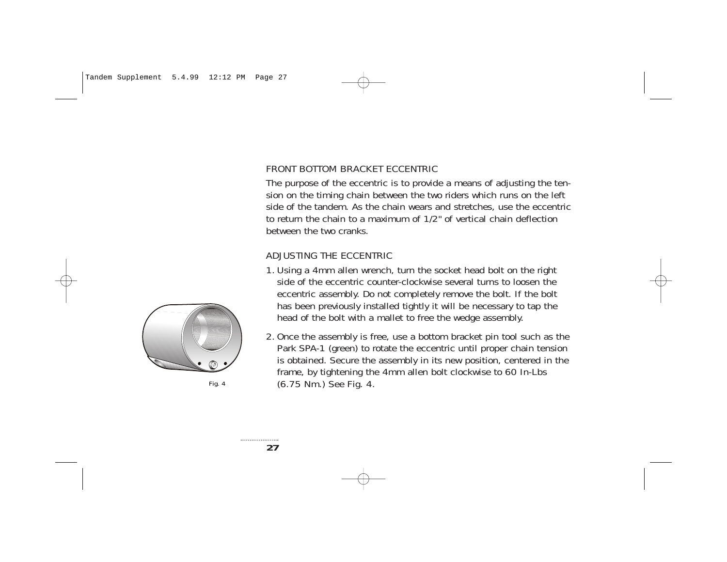### FRONT BOTTOM BRACKET ECCENTRIC

The purpose of the eccentric is to provide a means of adjusting the tension on the timing chain between the two riders which runs on the left side of the tandem. As the chain wears and stretches, use the eccentric to return the chain to a maximum of 1/2" of vertical chain deflection between the two cranks.

#### ADJUSTING THE ECCENTRIC

- 1. Using a 4mm allen wrench, turn the socket head bolt on the right side of the eccentric counter-clockwise several turns to loosen the eccentric assembly. Do not completely remove the bolt. If the bolt has been previously installed tightly it will be necessary to tap the head of the bolt with a mallet to free the wedge assembly.
- 2. Once the assembly is free, use a bottom bracket pin tool such as the Park SPA-1 (green) to rotate the eccentric until proper chain tension is obtained. Secure the assembly in its new position, centered in the frame, by tightening the 4mm allen bolt clockwise to 60 In-Lbs Fig. 4 (6.75 Nm.) See Fig. 4.

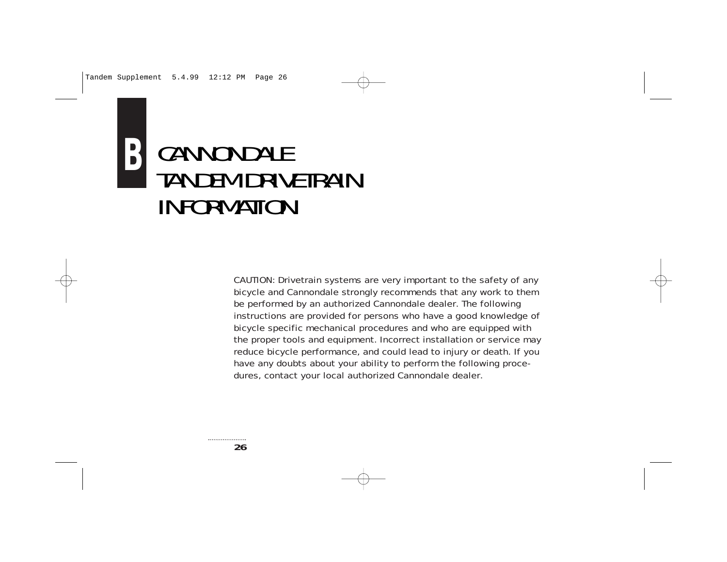# **CANNONDALE<br>TANDEM DRIVETRAIN** INFORMATION

CAUTION: Drivetrain systems are very important to the safety of any bicycle and Cannondale strongly recommends that any work to them be performed by an authorized Cannondale dealer. The following instructions are provided for persons who have a good knowledge of bicycle specific mechanical procedures and who are equipped with the proper tools and equipment. Incorrect installation or service may reduce bicycle performance, and could lead to injury or death. If you have any doubts about your ability to perform the following procedures, contact your local authorized Cannondale dealer.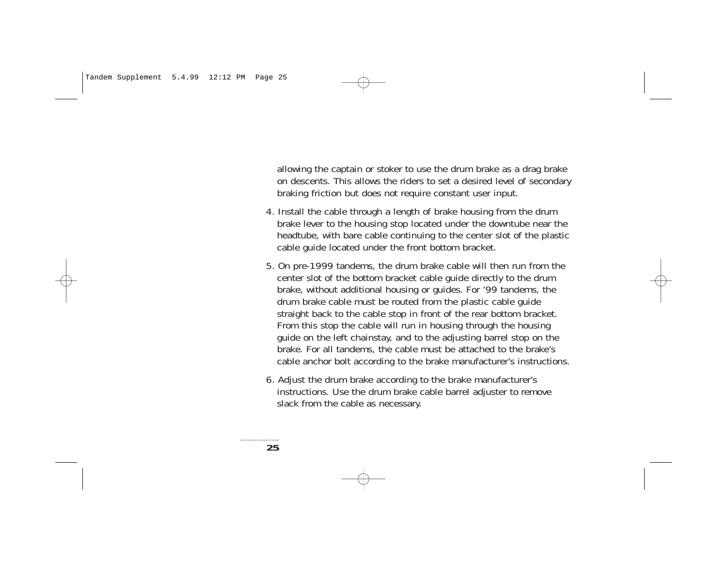allowing the captain or stoker to use the drum brake as a drag brake on descents. This allows the riders to set a desired level of secondary braking friction but does not require constant user input.

- 4. Install the cable through a length of brake housing from the drum brake lever to the housing stop located under the downtube near the headtube, with bare cable continuing to the center slot of the plastic cable guide located under the front bottom bracket.
- 5. On pre-1999 tandems, the drum brake cable will then run from the center slot of the bottom bracket cable guide directly to the drum brake, without additional housing or guides. For '99 tandems, the drum brake cable must be routed from the plastic cable guide straight back to the cable stop in front of the rear bottom bracket. From this stop the cable will run in housing through the housing guide on the left chainstay, and to the adjusting barrel stop on the brake. For all tandems, the cable must be attached to the brake's cable anchor bolt according to the brake manufacturer's instructions.
- 6. Adjust the drum brake according to the brake manufacturer's instructions. Use the drum brake cable barrel adjuster to remove slack from the cable as necessary.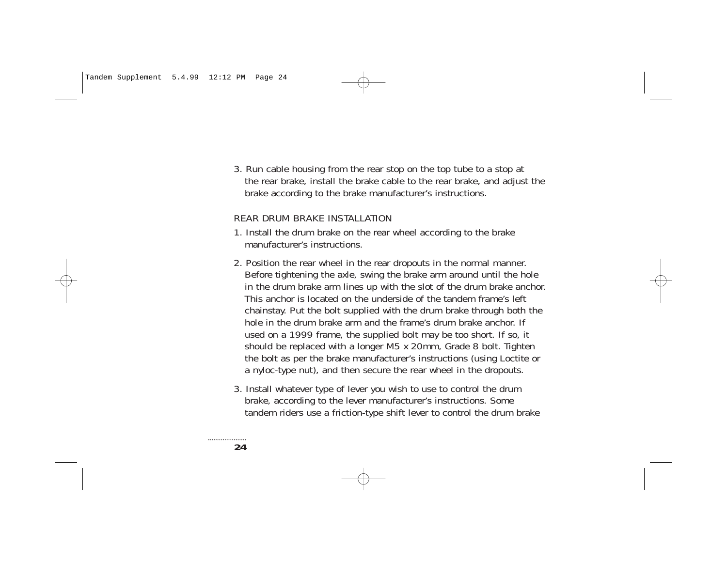3. Run cable housing from the rear stop on the top tube to a stop at the rear brake, install the brake cable to the rear brake, and adjust the brake according to the brake manufacturer's instructions.

#### REAR DRUM BRAKE INSTALLATION

- 1. Install the drum brake on the rear wheel according to the brake manufacturer's instructions.
- 2. Position the rear wheel in the rear dropouts in the normal manner. Before tightening the axle, swing the brake arm around until the hole in the drum brake arm lines up with the slot of the drum brake anchor. This anchor is located on the underside of the tandem frame's left chainstay. Put the bolt supplied with the drum brake through both the hole in the drum brake arm and the frame's drum brake anchor. If used on a 1999 frame, the supplied bolt may be too short. If so, it should be replaced with a longer M5 x 20mm, Grade 8 bolt. Tighten the bolt as per the brake manufacturer's instructions (using Loctite or a nyloc-type nut), and then secure the rear wheel in the dropouts.
- 3. Install whatever type of lever you wish to use to control the drum brake, according to the lever manufacturer's instructions. Some tandem riders use a friction-type shift lever to control the drum brake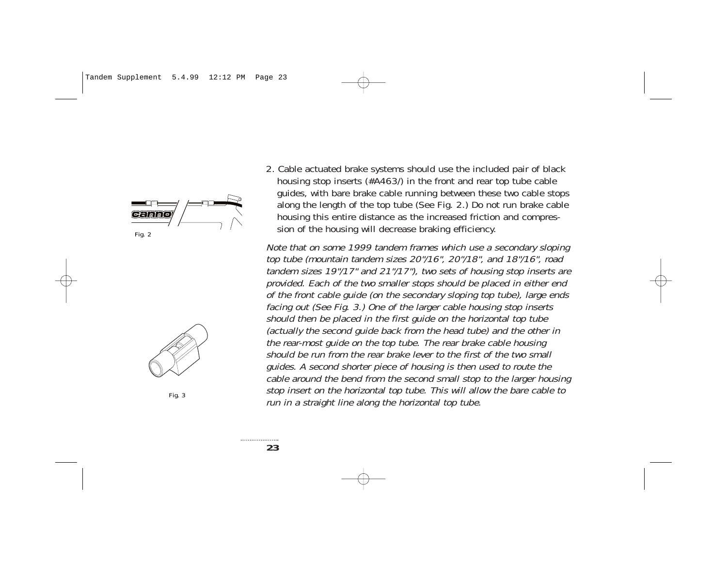



Fig. 3

2. Cable actuated brake systems should use the included pair of black housing stop inserts (#A463/) in the front and rear top tube cable guides, with bare brake cable running between these two cable stops along the length of the top tube (See Fig. 2.) Do not run brake cable housing this entire distance as the increased friction and compression of the housing will decrease braking efficiency.

Note that on some 1999 tandem frames which use a secondary sloping top tube (mountain tandem sizes 20"/16", 20"/18", and 18"/16", road tandem sizes 19"/17" and 21"/17"), two sets of housing stop inserts are provided. Each of the two smaller stops should be placed in either end of the front cable guide (on the secondary sloping top tube), large ends facing out (See Fig. 3.) One of the larger cable housing stop inserts should then be placed in the first guide on the horizontal top tube (actually the second guide back from the head tube) and the other in the rear-most guide on the top tube. The rear brake cable housing should be run from the rear brake lever to the first of the two small guides. A second shorter piece of housing is then used to route the cable around the bend from the second small stop to the larger housing stop insert on the horizontal top tube. This will allow the bare cable to run in a straight line along the horizontal top tube.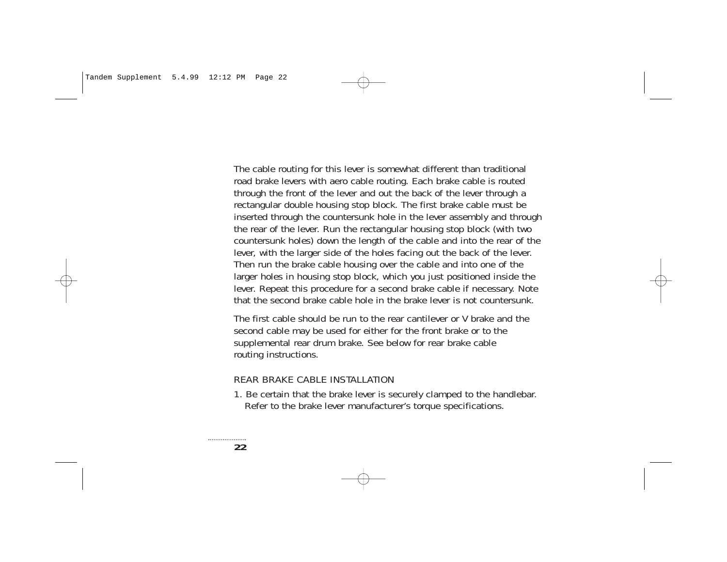The cable routing for this lever is somewhat different than traditional road brake levers with aero cable routing. Each brake cable is routed through the front of the lever and out the back of the lever through a rectangular double housing stop block. The first brake cable must be inserted through the countersunk hole in the lever assembly and through the rear of the lever. Run the rectangular housing stop block (with two countersunk holes) down the length of the cable and into the rear of the lever, with the larger side of the holes facing out the back of the lever. Then run the brake cable housing over the cable and into one of the larger holes in housing stop block, which you just positioned inside the lever. Repeat this procedure for a second brake cable if necessary. Note that the second brake cable hole in the brake lever is not countersunk.

The first cable should be run to the rear cantilever or V brake and the second cable may be used for either for the front brake or to the supplemental rear drum brake. See below for rear brake cable routing instructions.

#### REAR BRAKE CABLE INSTALLATION

1. Be certain that the brake lever is securely clamped to the handlebar. Refer to the brake lever manufacturer's torque specifications.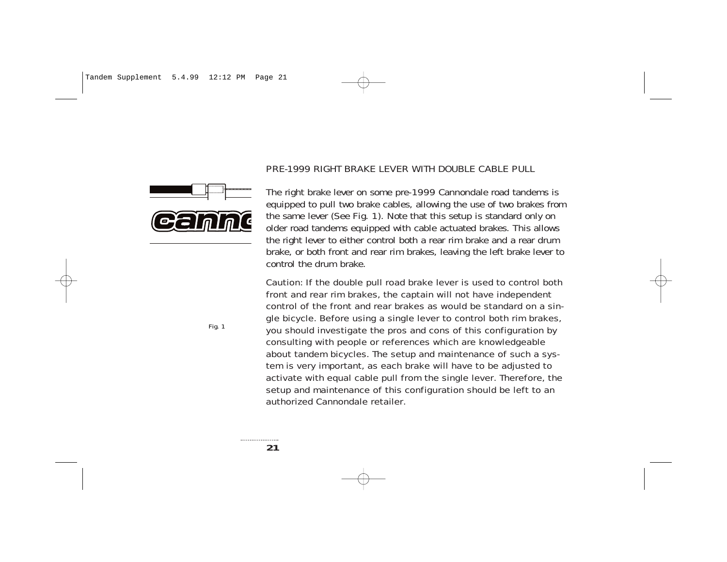#### PRE-1999 RIGHT BRAKE LEVER WITH DOUBLE CABLE PULL

The right brake lever on some pre-1999 Cannondale road tandems is equipped to pull two brake cables, allowing the use of two brakes from the same lever (See Fig. 1). Note that this setup is standard only on older road tandems equipped with cable actuated brakes. This allows the right lever to either control both a rear rim brake and a rear drum brake, or both front and rear rim brakes, leaving the left brake lever to control the drum brake.

Caution: If the double pull road brake lever is used to control both front and rear rim brakes, the captain will not have independent control of the front and rear brakes as would be standard on a single bicycle. Before using a single lever to control both rim brakes, you should investigate the pros and cons of this configuration by consulting with people or references which are knowledgeable about tandem bicycles. The setup and maintenance of such a system is very important, as each brake will have to be adjusted to activate with equal cable pull from the single lever. Therefore, the setup and maintenance of this configuration should be left to an authorized Cannondale retailer.

Fig. 1

. . . . . . . . . . . . . . . . . . . .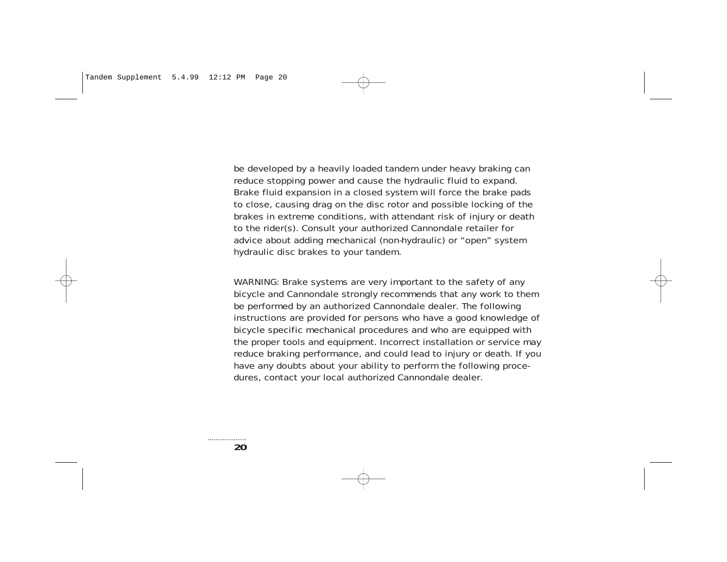be developed by a heavily loaded tandem under heavy braking can reduce stopping power and cause the hydraulic fluid to expand. Brake fluid expansion in a closed system will force the brake pads to close, causing drag on the disc rotor and possible locking of the brakes in extreme conditions, with attendant risk of injury or death to the rider(s). Consult your authorized Cannondale retailer for advice about adding mechanical (non-hydraulic) or "open" system hydraulic disc brakes to your tandem.

WARNING: Brake systems are very important to the safety of any bicycle and Cannondale strongly recommends that any work to them be performed by an authorized Cannondale dealer. The following instructions are provided for persons who have a good knowledge of bicycle specific mechanical procedures and who are equipped with the proper tools and equipment. Incorrect installation or service may reduce braking performance, and could lead to injury or death. If you have any doubts about your ability to perform the following procedures, contact your local authorized Cannondale dealer.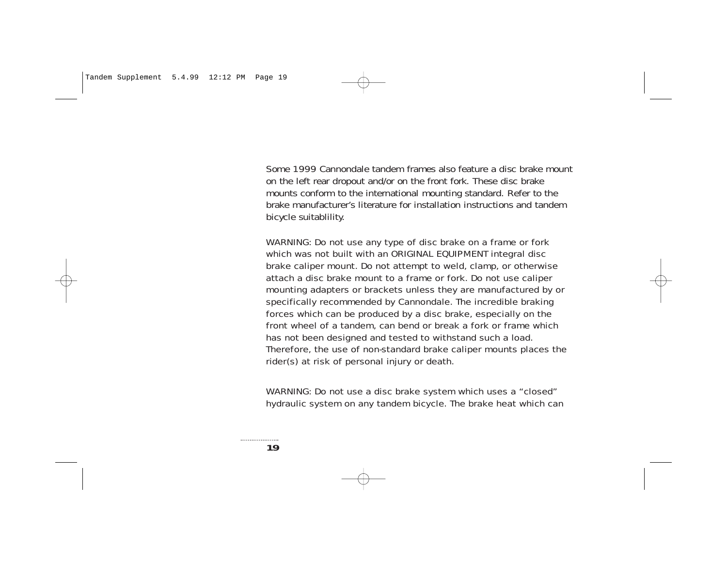Some 1999 Cannondale tandem frames also feature a disc brake mount on the left rear dropout and/or on the front fork. These disc brake mounts conform to the international mounting standard. Refer to the brake manufacturer's literature for installation instructions and tandem bicycle suitablility.

WARNING: Do not use any type of disc brake on a frame or fork which was not built with an ORIGINAL EQUIPMENT integral disc brake caliper mount. Do not attempt to weld, clamp, or otherwise attach a disc brake mount to a frame or fork. Do not use caliper mounting adapters or brackets unless they are manufactured by or specifically recommended by Cannondale. The incredible braking forces which can be produced by a disc brake, especially on the front wheel of a tandem, can bend or break a fork or frame which has not been designed and tested to withstand such a load. Therefore, the use of non-standard brake caliper mounts places the rider(s) at risk of personal injury or death.

WARNING: Do not use a disc brake system which uses a "closed" hydraulic system on any tandem bicycle. The brake heat which can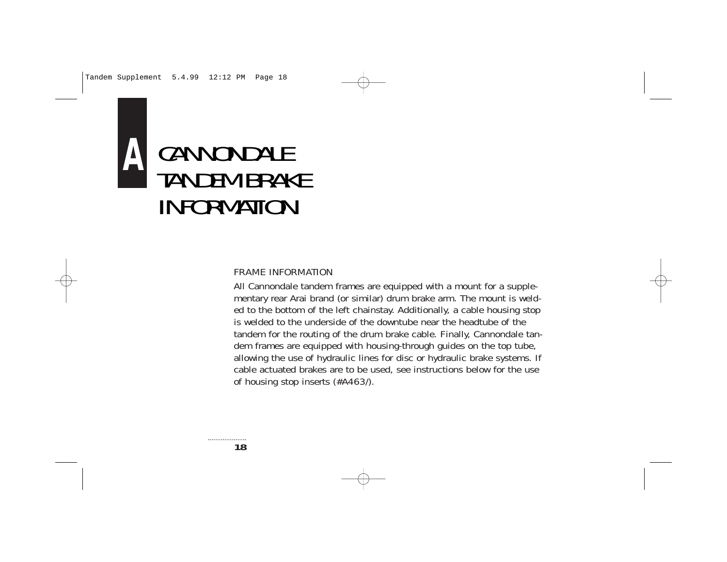# **<sup>A</sup>** CANNONDALE TANDEM BRAKE INFORMATION

# FRAME INFORMATION

All Cannondale tandem frames are equipped with a mount for a supplementary rear Arai brand (or similar) drum brake arm. The mount is welded to the bottom of the left chainstay. Additionally, a cable housing stop is welded to the underside of the downtube near the headtube of the tandem for the routing of the drum brake cable. Finally, Cannondale tandem frames are equipped with housing-through guides on the top tube, allowing the use of hydraulic lines for disc or hydraulic brake systems. If cable actuated brakes are to be used, see instructions below for the use of housing stop inserts (#A463/).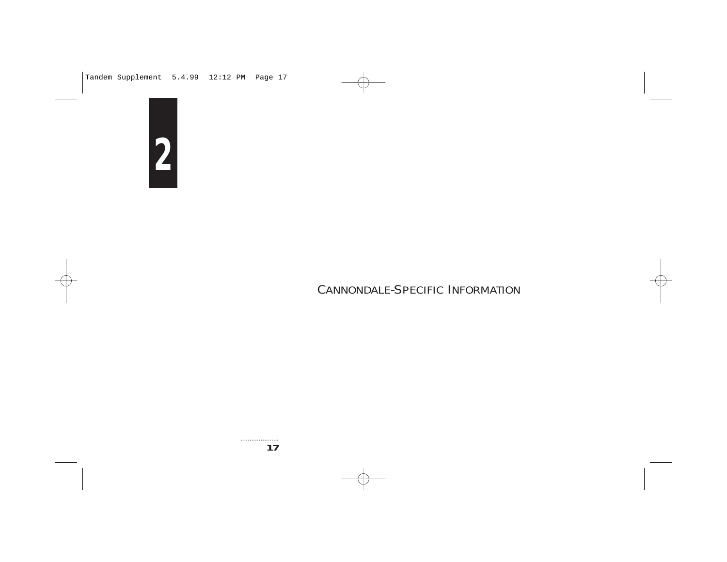# CANNONDALE-SPECIFIC INFORMATION

**17**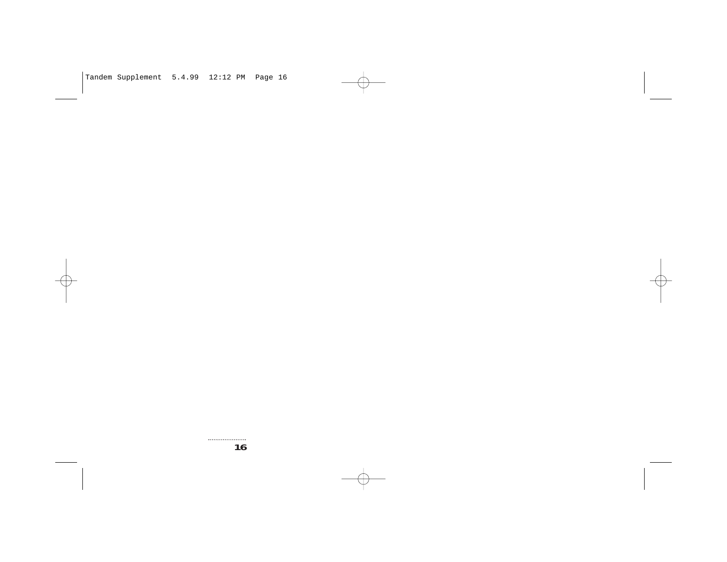#### ................... **16**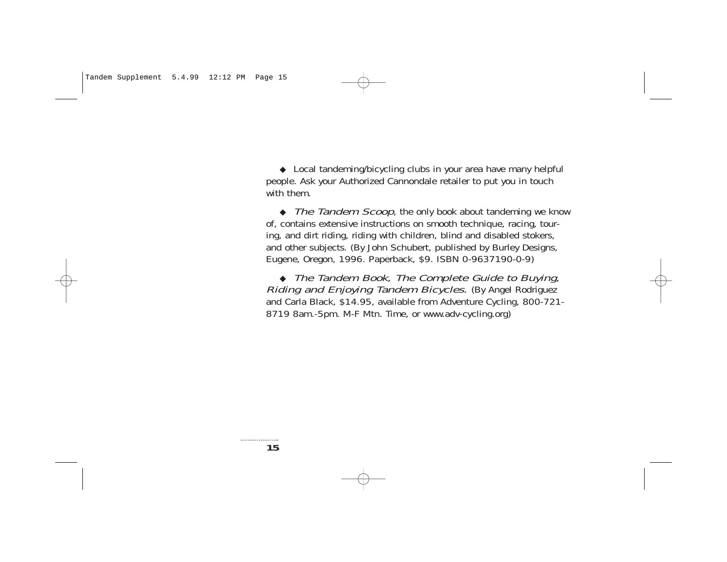◆ Local tandeming/bicycling clubs in your area have many helpful people. Ask your Authorized Cannondale retailer to put you in touch with them.

◆ The Tandem Scoop, the only book about tandeming we know of, contains extensive instructions on smooth technique, racing, touring, and dirt riding, riding with children, blind and disabled stokers, and other subjects. (By John Schubert, published by Burley Designs, Eugene, Oregon, 1996. Paperback, \$9. ISBN 0-9637190-0-9)

◆ The Tandem Book, The Complete Guide to Buying, Riding and Enjoying Tandem Bicycles. (By Angel Rodriguez and Carla Black, \$14.95, available from Adventure Cycling, 800-721- 8719 8am.-5pm. M-F Mtn. Time, or www.adv-cycling.org)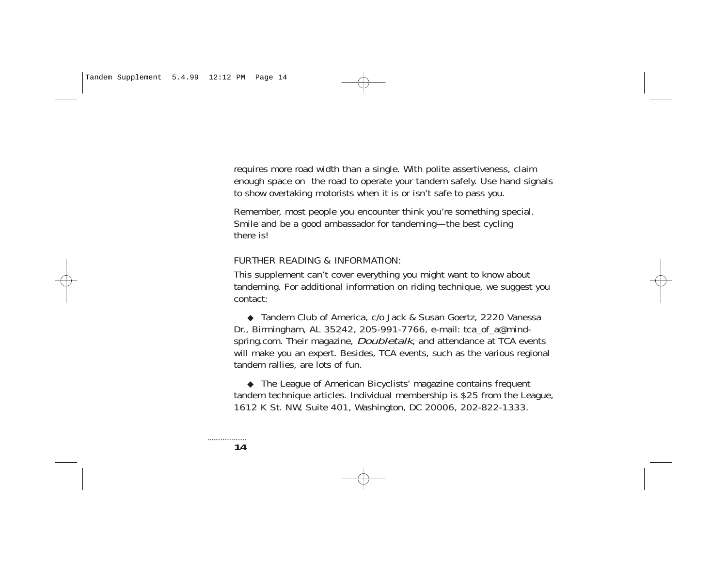requires more road width than a single. With polite assertiveness, claim enough space on the road to operate your tandem safely. Use hand signals to show overtaking motorists when it is or isn't safe to pass you.

Remember, most people you encounter think you're something special. Smile and be a good ambassador for tandeming—the best cycling there is!

#### FURTHER READING & INFORMATION:

This supplement can't cover everything you might want to know about tandeming. For additional information on riding technique, we suggest you contact:

◆ Tandem Club of America, c/o Jack & Susan Goertz, 2220 Vanessa Dr., Birmingham, AL 35242, 205-991-7766, e-mail: tca\_of\_a@mindspring.com. Their magazine, *Doubletalk*, and attendance at TCA events will make you an expert. Besides, TCA events, such as the various regional tandem rallies, are lots of fun.

◆ The League of American Bicyclists' magazine contains frequent tandem technique articles. Individual membership is \$25 from the League, 1612 K St. NW, Suite 401, Washington, DC 20006, 202-822-1333.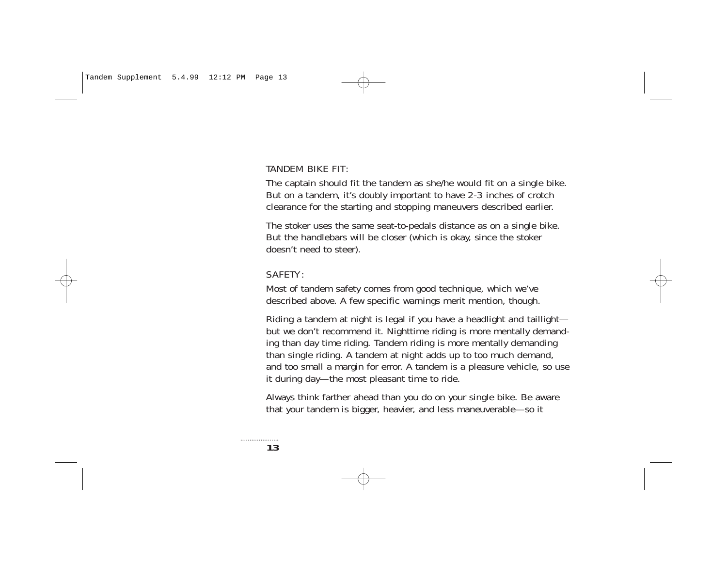#### TANDEM BIKE FIT:

The captain should fit the tandem as she/he would fit on a single bike. But on a tandem, it's doubly important to have 2-3 inches of crotch clearance for the starting and stopping maneuvers described earlier.

The stoker uses the same seat-to-pedals distance as on a single bike. But the handlebars will be closer (which is okay, since the stoker doesn't need to steer).

### SAFETY:

Most of tandem safety comes from good technique, which we've described above. A few specific warnings merit mention, though.

Riding a tandem at night is legal if you have a headlight and taillight but we don't recommend it. Nighttime riding is more mentally demanding than day time riding. Tandem riding is more mentally demanding than single riding. A tandem at night adds up to too much demand, and too small a margin for error. A tandem is a pleasure vehicle, so use it during day—the most pleasant time to ride.

Always think farther ahead than you do on your single bike. Be aware that your tandem is bigger, heavier, and less maneuverable—so it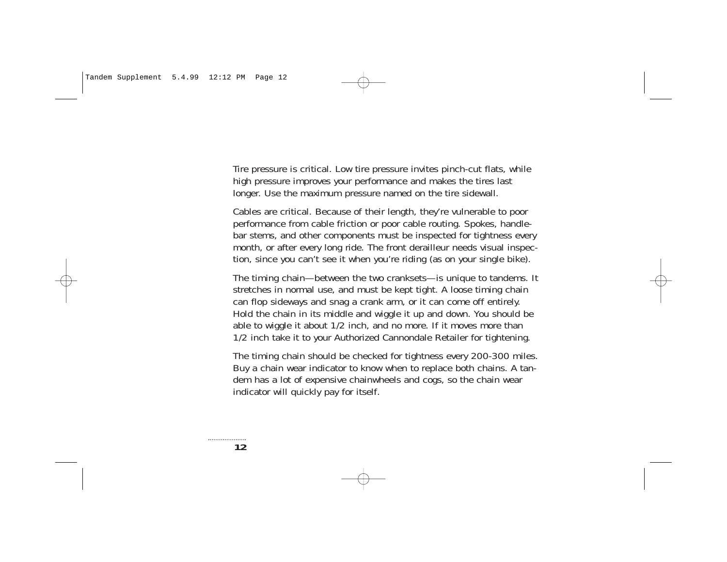Tire pressure is critical. Low tire pressure invites pinch-cut flats, while high pressure improves your performance and makes the tires last longer. Use the maximum pressure named on the tire sidewall.

Cables are critical. Because of their length, they're vulnerable to poor performance from cable friction or poor cable routing. Spokes, handlebar stems, and other components must be inspected for tightness every month, or after every long ride. The front derailleur needs visual inspection, since you can't see it when you're riding (as on your single bike).

The timing chain—between the two cranksets—is unique to tandems. It stretches in normal use, and must be kept tight. A loose timing chain can flop sideways and snag a crank arm, or it can come off entirely. Hold the chain in its middle and wiggle it up and down. You should be able to wiggle it about 1/2 inch, and no more. If it moves more than 1/2 inch take it to your Authorized Cannondale Retailer for tightening.

The timing chain should be checked for tightness every 200-300 miles. Buy a chain wear indicator to know when to replace both chains. A tandem has a lot of expensive chainwheels and cogs, so the chain wear indicator will quickly pay for itself.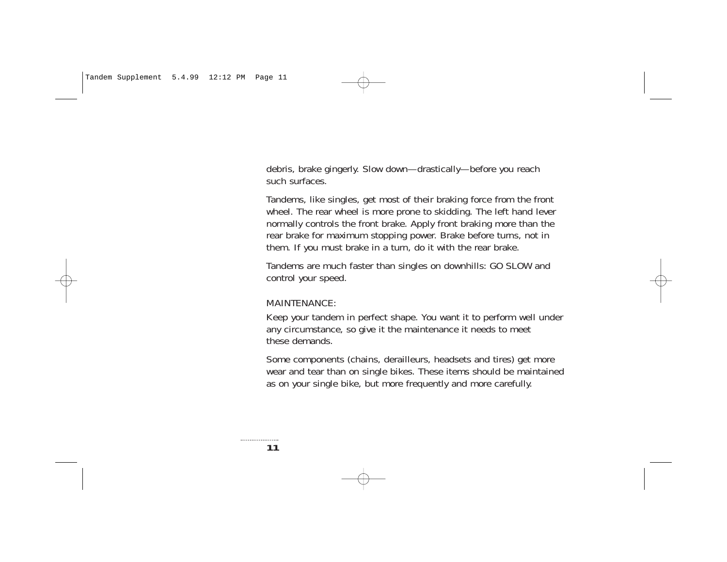debris, brake gingerly. Slow down—drastically—before you reach such surfaces.

Tandems, like singles, get most of their braking force from the front wheel. The rear wheel is more prone to skidding. The left hand lever normally controls the front brake. Apply front braking more than the rear brake for maximum stopping power. Brake before turns, not in them. If you must brake in a turn, do it with the rear brake.

Tandems are much faster than singles on downhills: GO SLOW and control your speed.

#### MAINTENANCE:

Keep your tandem in perfect shape. You want it to perform well under any circumstance, so give it the maintenance it needs to meet these demands.

Some components (chains, derailleurs, headsets and tires) get more wear and tear than on single bikes. These items should be maintained as on your single bike, but more frequently and more carefully.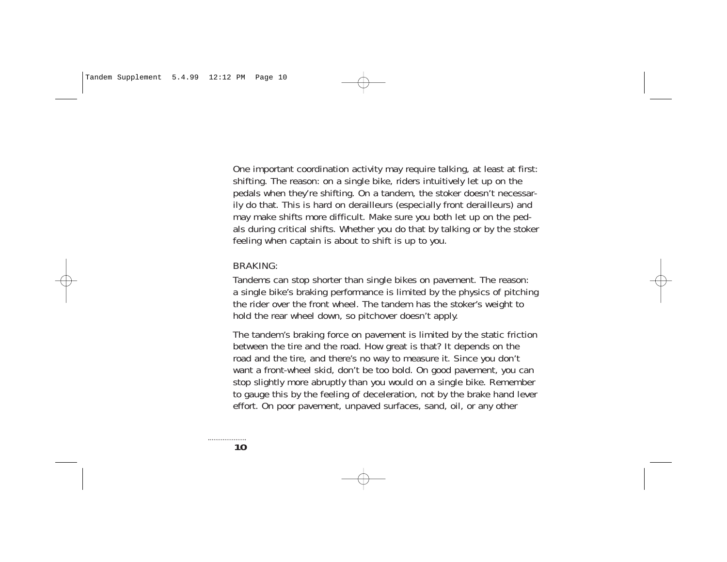One important coordination activity may require talking, at least at first: shifting. The reason: on a single bike, riders intuitively let up on the pedals when they're shifting. On a tandem, the stoker doesn't necessarily do that. This is hard on derailleurs (especially front derailleurs) and may make shifts more difficult. Make sure you both let up on the pedals during critical shifts. Whether you do that by talking or by the stoker feeling when captain is about to shift is up to you.

#### BRAKING:

Tandems can stop shorter than single bikes on pavement. The reason: a single bike's braking performance is limited by the physics of pitching the rider over the front wheel. The tandem has the stoker's weight to hold the rear wheel down, so pitchover doesn't apply.

The tandem's braking force on pavement is limited by the static friction between the tire and the road. How great is that? It depends on the road and the tire, and there's no way to measure it. Since you don't want a front-wheel skid, don't be too bold. On good pavement, you can stop slightly more abruptly than you would on a single bike. Remember to gauge this by the feeling of deceleration, not by the brake hand lever effort. On poor pavement, unpaved surfaces, sand, oil, or any other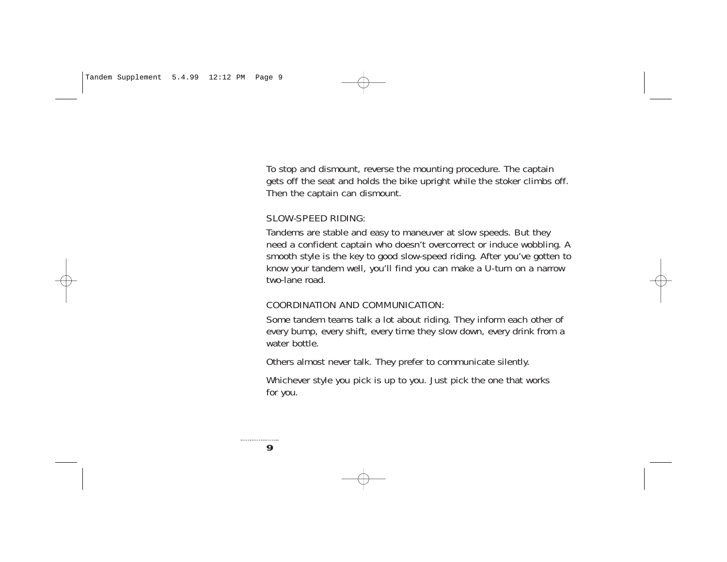To stop and dismount, reverse the mounting procedure. The captain gets off the seat and holds the bike upright while the stoker climbs off. Then the captain can dismount.

#### SLOW-SPEED RIDING:

Tandems are stable and easy to maneuver at slow speeds. But they need a confident captain who doesn't overcorrect or induce wobbling. A smooth style is the key to good slow-speed riding. After you've gotten to know your tandem well, you'll find you can make a U-turn on a narrow two-lane road.

# COORDINATION AND COMMUNICATION:

Some tandem teams talk a lot about riding. They inform each other of every bump, every shift, every time they slow down, every drink from a water bottle.

Others almost never talk. They prefer to communicate silently.

Whichever style you pick is up to you. Just pick the one that works for you.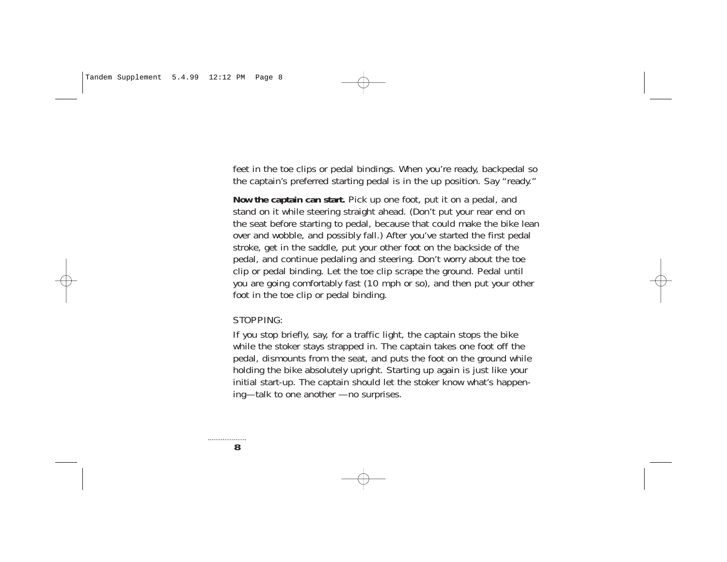feet in the toe clips or pedal bindings. When you're ready, backpedal so the captain's preferred starting pedal is in the up position. Say "ready."

**Now the captain can start.** Pick up one foot, put it on a pedal, and stand on it while steering straight ahead. (Don't put your rear end on the seat before starting to pedal, because that could make the bike lean over and wobble, and possibly fall.) After you've started the first pedal stroke, get in the saddle, put your other foot on the backside of the pedal, and continue pedaling and steering. Don't worry about the toe clip or pedal binding. Let the toe clip scrape the ground. Pedal until you are going comfortably fast (10 mph or so), and then put your other foot in the toe clip or pedal binding.

#### STOPPING:

If you stop briefly, say, for a traffic light, the captain stops the bike while the stoker stays strapped in. The captain takes one foot off the pedal, dismounts from the seat, and puts the foot on the ground while holding the bike absolutely upright. Starting up again is just like your initial start-up. The captain should let the stoker know what's happening—talk to one another —no surprises.

....................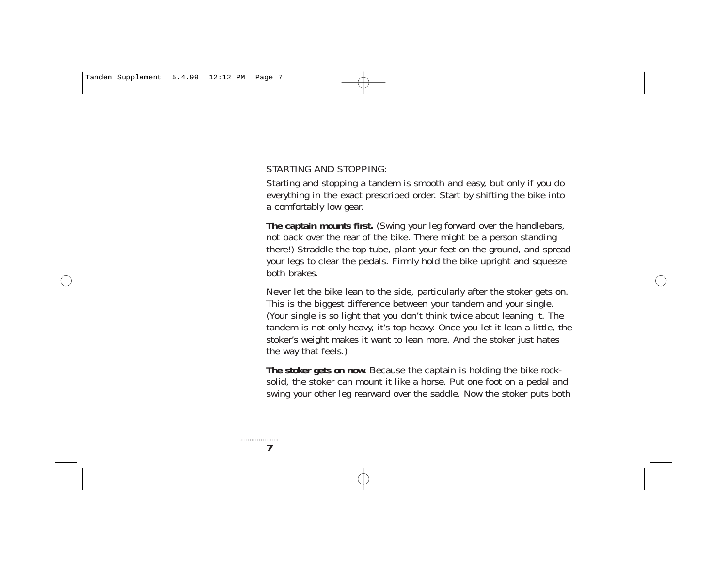#### STARTING AND STOPPING:

Starting and stopping a tandem is smooth and easy, but only if you do everything in the exact prescribed order. Start by shifting the bike into a comfortably low gear.

**The captain mounts first.** (Swing your leg forward over the handlebars, not back over the rear of the bike. There might be a person standing there!) Straddle the top tube, plant your feet on the ground, and spread your legs to clear the pedals. Firmly hold the bike upright and squeeze both brakes.

Never let the bike lean to the side, particularly after the stoker gets on. This is the biggest difference between your tandem and your single. (Your single is so light that you don't think twice about leaning it. The tandem is not only heavy, it's top heavy. Once you let it lean a little, the stoker's weight makes it want to lean more. And the stoker just hates the way that feels.)

**The stoker gets on now.** Because the captain is holding the bike rocksolid, the stoker can mount it like a horse. Put one foot on a pedal and swing your other leg rearward over the saddle. Now the stoker puts both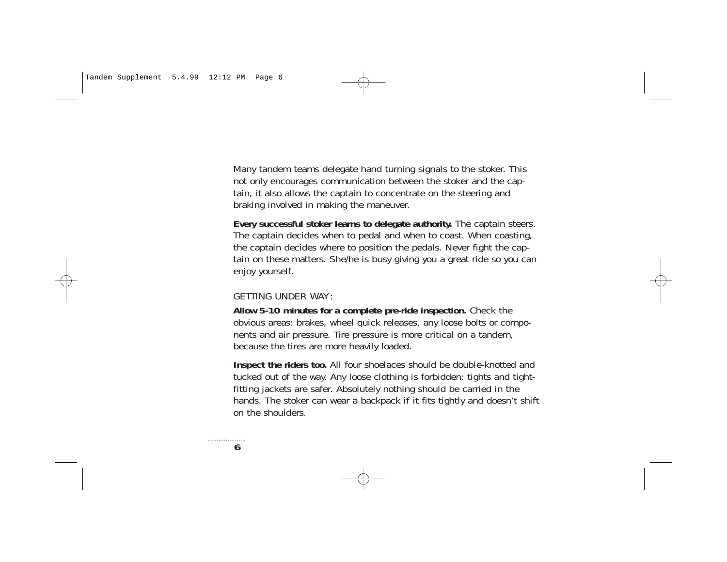Many tandem teams delegate hand turning signals to the stoker. This not only encourages communication between the stoker and the captain, it also allows the captain to concentrate on the steering and braking involved in making the maneuver.

**Every successful stoker learns to delegate authority.** The captain steers. The captain decides when to pedal and when to coast. When coasting, the captain decides where to position the pedals. Never fight the captain on these matters. She/he is busy giving you a great ride so you can enjoy yourself.

#### GETTING UNDER WAY:

**Allow 5-10 minutes for a complete pre-ride inspection.** Check the obvious areas: brakes, wheel quick releases, any loose bolts or components and air pressure. Tire pressure is more critical on a tandem, because the tires are more heavily loaded.

**Inspect the riders too.** All four shoelaces should be double-knotted and tucked out of the way. Any loose clothing is forbidden: tights and tightfitting jackets are safer. Absolutely nothing should be carried in the hands. The stoker can wear a backpack if it fits tightly and doesn't shift on the shoulders.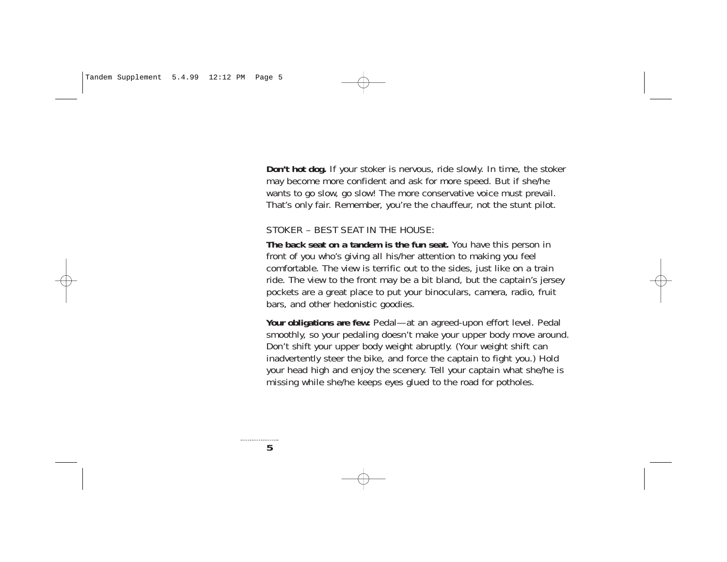**Don't hot dog.** If your stoker is nervous, ride slowly. In time, the stoker may become more confident and ask for more speed. But if she/he wants to go slow, go slow! The more conservative voice must prevail. That's only fair. Remember, you're the chauffeur, not the stunt pilot.

#### STOKER – BEST SEAT IN THE HOUSE:

**The back seat on a tandem is the fun seat.** You have this person in front of you who's giving all his/her attention to making you feel comfortable. The view is terrific out to the sides, just like on a train ride. The view to the front may be a bit bland, but the captain's jersey pockets are a great place to put your binoculars, camera, radio, fruit bars, and other hedonistic goodies.

**Your obligations are few:** Pedal—at an agreed-upon effort level. Pedal smoothly, so your pedaling doesn't make your upper body move around. Don't shift your upper body weight abruptly. (Your weight shift can inadvertently steer the bike, and force the captain to fight you.) Hold your head high and enjoy the scenery. Tell your captain what she/he is missing while she/he keeps eyes glued to the road for potholes.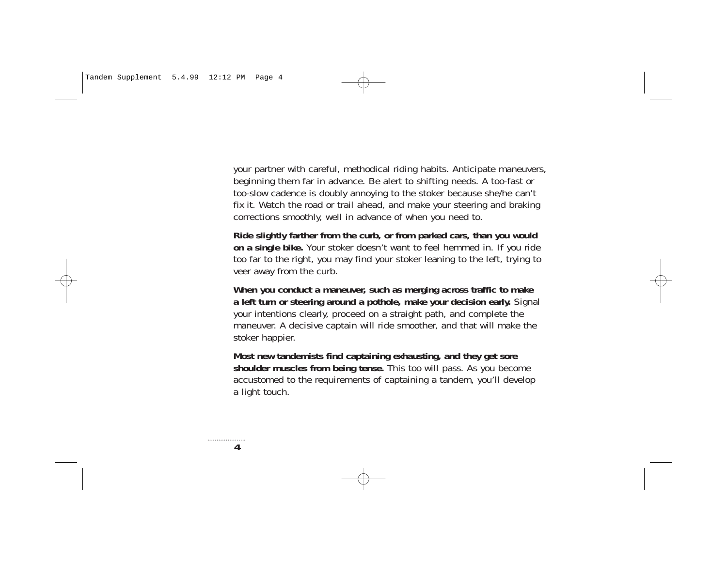your partner with careful, methodical riding habits. Anticipate maneuvers, beginning them far in advance. Be alert to shifting needs. A too-fast or too-slow cadence is doubly annoying to the stoker because she/he can't fix it. Watch the road or trail ahead, and make your steering and braking corrections smoothly, well in advance of when you need to.

**Ride slightly farther from the curb, or from parked cars, than you would on a single bike.** Your stoker doesn't want to feel hemmed in. If you ride too far to the right, you may find your stoker leaning to the left, trying to veer away from the curb.

**When you conduct a maneuver, such as merging across traffic to make a left turn or steering around a pothole, make your decision early.** Signal your intentions clearly, proceed on a straight path, and complete the maneuver. A decisive captain will ride smoother, and that will make the stoker happier.

**Most new tandemists find captaining exhausting, and they get sore shoulder muscles from being tense.** This too will pass. As you become accustomed to the requirements of captaining a tandem, you'll develop a light touch.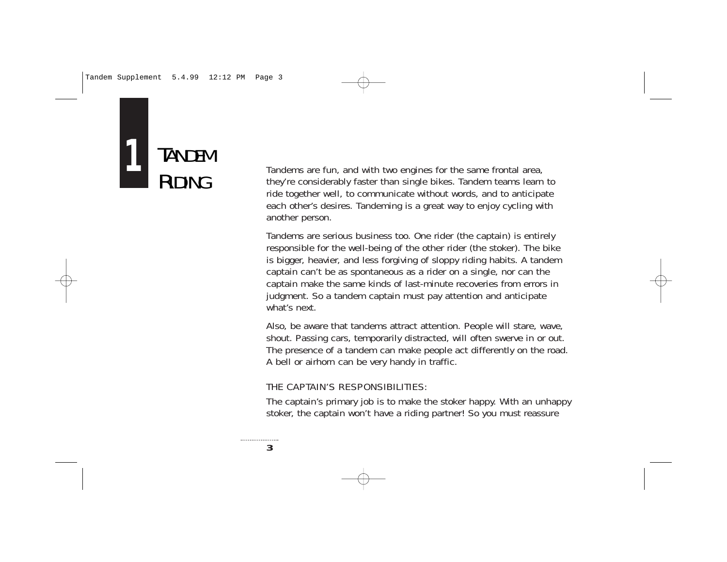

Tandems are fun, and with two engines for the same frontal area, they're considerably faster than single bikes. Tandem teams learn to ride together well, to communicate without words, and to anticipate each other's desires. Tandeming is a great way to enjoy cycling with another person.

Tandems are serious business too. One rider (the captain) is entirely responsible for the well-being of the other rider (the stoker). The bike is bigger, heavier, and less forgiving of sloppy riding habits. A tandem captain can't be as spontaneous as a rider on a single, nor can the captain make the same kinds of last-minute recoveries from errors in judgment. So a tandem captain must pay attention and anticipate what's next.

Also, be aware that tandems attract attention. People will stare, wave, shout. Passing cars, temporarily distracted, will often swerve in or out. The presence of a tandem can make people act differently on the road. A bell or airhorn can be very handy in traffic.

#### THE CAPTAIN'S RESPONSIBILITIES:

The captain's primary job is to make the stoker happy. With an unhappy stoker, the captain won't have a riding partner! So you must reassure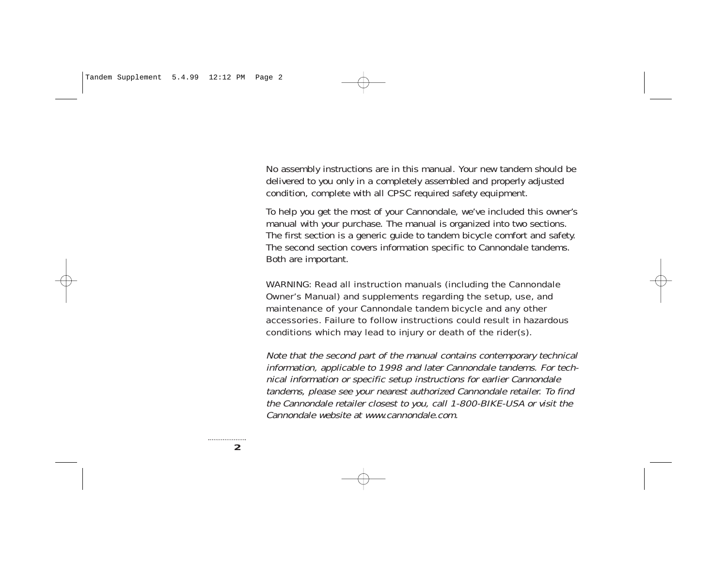No assembly instructions are in this manual. Your new tandem should be delivered to you only in a completely assembled and properly adjusted condition, complete with all CPSC required safety equipment.

To help you get the most of your Cannondale, we've included this owner's manual with your purchase. The manual is organized into two sections. The first section is a generic guide to tandem bicycle comfort and safety. The second section covers information specific to Cannondale tandems. Both are important.

WARNING: Read all instruction manuals (including the Cannondale Owner's Manual) and supplements regarding the setup, use, and maintenance of your Cannondale tandem bicycle and any other accessories. Failure to follow instructions could result in hazardous conditions which may lead to injury or death of the rider(s).

Note that the second part of the manual contains contemporary technical information, applicable to 1998 and later Cannondale tandems. For technical information or specific setup instructions for earlier Cannondale tandems, please see your nearest authorized Cannondale retailer. To find the Cannondale retailer closest to you, call 1-800-BIKE-USA or visit the Cannondale website at www.cannondale.com.